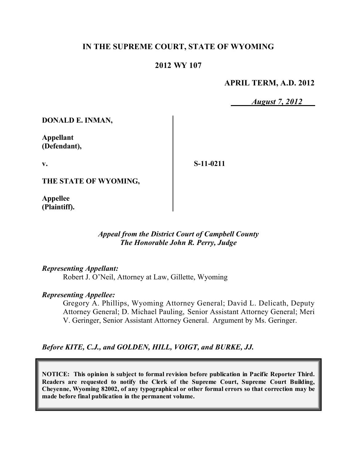# **IN THE SUPREME COURT, STATE OF WYOMING**

### **2012 WY 107**

#### **APRIL TERM, A.D. 2012**

*August 7, 2012*

**DONALD E. INMAN,**

**Appellant (Defendant),**

**v.**

**S-11-0211**

**THE STATE OF WYOMING,**

**Appellee (Plaintiff).**

### *Appeal from the District Court of Campbell County The Honorable John R. Perry, Judge*

#### *Representing Appellant:*

Robert J. O'Neil, Attorney at Law, Gillette, Wyoming

#### *Representing Appellee:*

Gregory A. Phillips, Wyoming Attorney General; David L. Delicath, Deputy Attorney General; D. Michael Pauling, Senior Assistant Attorney General; Meri V. Geringer, Senior Assistant Attorney General. Argument by Ms. Geringer.

#### *Before KITE, C.J., and GOLDEN, HILL, VOIGT, and BURKE, JJ.*

**NOTICE: This opinion is subject to formal revision before publication in Pacific Reporter Third. Readers are requested to notify the Clerk of the Supreme Court, Supreme Court Building, Cheyenne, Wyoming 82002, of any typographical or other formal errors so that correction may be made before final publication in the permanent volume.**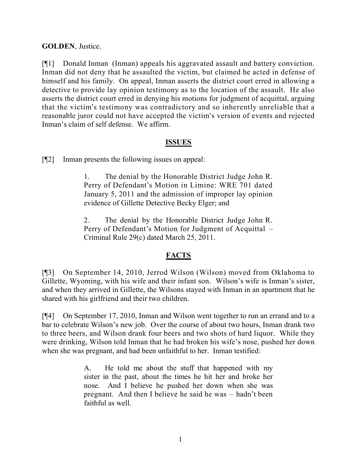## **GOLDEN**, Justice.

[¶1] Donald Inman (Inman) appeals his aggravated assault and battery conviction. Inman did not deny that he assaulted the victim, but claimed he acted in defense of himself and his family. On appeal, Inman asserts the district court erred in allowing a detective to provide lay opinion testimony as to the location of the assault. He also asserts the district court erred in denying his motions for judgment of acquittal, arguing that the victim's testimony was contradictory and so inherently unreliable that a reasonable juror could not have accepted the victim's version of events and rejected Inman's claim of self defense. We affirm.

### **ISSUES**

[¶2] Inman presents the following issues on appeal:

1. The denial by the Honorable District Judge John R. Perry of Defendant's Motion in Limine: WRE 701 dated January 5, 2011 and the admission of improper lay opinion evidence of Gillette Detective Becky Elger; and

2. The denial by the Honorable District Judge John R. Perry of Defendant's Motion for Judgment of Acquittal – Criminal Rule 29(c) dated March 25, 2011.

# **FACTS**

[¶3] On September 14, 2010, Jerrod Wilson (Wilson) moved from Oklahoma to Gillette, Wyoming, with his wife and their infant son. Wilson's wife is Inman's sister, and when they arrived in Gillette, the Wilsons stayed with Inman in an apartment that he shared with his girlfriend and their two children.

[¶4] On September 17, 2010, Inman and Wilson went together to run an errand and to a bar to celebrate Wilson's new job. Over the course of about two hours, Inman drank two to three beers, and Wilson drank four beers and two shots of hard liquor. While they were drinking, Wilson told Inman that he had broken his wife's nose, pushed her down when she was pregnant, and had been unfaithful to her. Inman testified:

> A. He told me about the stuff that happened with my sister in the past, about the times he hit her and broke her nose. And I believe he pushed her down when she was pregnant. And then I believe he said he was – hadn't been faithful as well.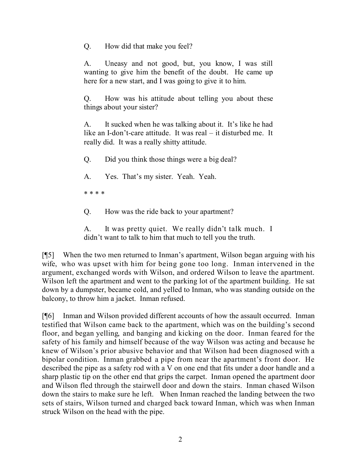Q. How did that make you feel?

A. Uneasy and not good, but, you know, I was still wanting to give him the benefit of the doubt. He came up here for a new start, and I was going to give it to him.

Q. How was his attitude about telling you about these things about your sister?

A. It sucked when he was talking about it. It's like he had like an I-don't-care attitude. It was real – it disturbed me. It really did. It was a really shitty attitude.

Q. Did you think those things were a big deal?

A. Yes. That's my sister. Yeah. Yeah.

\* \* \* \*

Q. How was the ride back to your apartment?

A. It was pretty quiet. We really didn't talk much. I didn't want to talk to him that much to tell you the truth.

[¶5] When the two men returned to Inman's apartment, Wilson began arguing with his wife, who was upset with him for being gone too long. Inman intervened in the argument, exchanged words with Wilson, and ordered Wilson to leave the apartment. Wilson left the apartment and went to the parking lot of the apartment building. He sat down by a dumpster, became cold, and yelled to Inman, who was standing outside on the balcony, to throw him a jacket. Inman refused.

[¶6] Inman and Wilson provided different accounts of how the assault occurred. Inman testified that Wilson came back to the apartment, which was on the building's second floor, and began yelling, and banging and kicking on the door. Inman feared for the safety of his family and himself because of the way Wilson was acting and because he knew of Wilson's prior abusive behavior and that Wilson had been diagnosed with a bipolar condition. Inman grabbed a pipe from near the apartment's front door. He described the pipe as a safety rod with a V on one end that fits under a door handle and a sharp plastic tip on the other end that grips the carpet. Inman opened the apartment door and Wilson fled through the stairwell door and down the stairs. Inman chased Wilson down the stairs to make sure he left. When Inman reached the landing between the two sets of stairs, Wilson turned and charged back toward Inman, which was when Inman struck Wilson on the head with the pipe.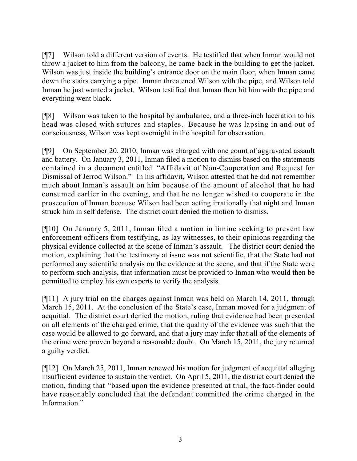[¶7] Wilson told a different version of events. He testified that when Inman would not throw a jacket to him from the balcony, he came back in the building to get the jacket. Wilson was just inside the building's entrance door on the main floor, when Inman came down the stairs carrying a pipe. Inman threatened Wilson with the pipe, and Wilson told Inman he just wanted a jacket. Wilson testified that Inman then hit him with the pipe and everything went black.

[¶8] Wilson was taken to the hospital by ambulance, and a three-inch laceration to his head was closed with sutures and staples. Because he was lapsing in and out of consciousness, Wilson was kept overnight in the hospital for observation.

[¶9] On September 20, 2010, Inman was charged with one count of aggravated assault and battery. On January 3, 2011, Inman filed a motion to dismiss based on the statements contained in a document entitled "Affidavit of Non-Cooperation and Request for Dismissal of Jerrod Wilson." In his affidavit, Wilson attested that he did not remember much about Inman's assault on him because of the amount of alcohol that he had consumed earlier in the evening, and that he no longer wished to cooperate in the prosecution of Inman because Wilson had been acting irrationally that night and Inman struck him in self defense. The district court denied the motion to dismiss.

[¶10] On January 5, 2011, Inman filed a motion in limine seeking to prevent law enforcement officers from testifying, as lay witnesses, to their opinions regarding the physical evidence collected at the scene of Inman's assault. The district court denied the motion, explaining that the testimony at issue was not scientific, that the State had not performed any scientific analysis on the evidence at the scene, and that if the State were to perform such analysis, that information must be provided to Inman who would then be permitted to employ his own experts to verify the analysis.

[¶11] A jury trial on the charges against Inman was held on March 14, 2011, through March 15, 2011. At the conclusion of the State's case, Inman moved for a judgment of acquittal. The district court denied the motion, ruling that evidence had been presented on all elements of the charged crime, that the quality of the evidence was such that the case would be allowed to go forward, and that a jury may infer that all of the elements of the crime were proven beyond a reasonable doubt. On March 15, 2011, the jury returned a guilty verdict.

[¶12] On March 25, 2011, Inman renewed his motion for judgment of acquittal alleging insufficient evidence to sustain the verdict. On April 5, 2011, the district court denied the motion, finding that "based upon the evidence presented at trial, the fact-finder could have reasonably concluded that the defendant committed the crime charged in the Information."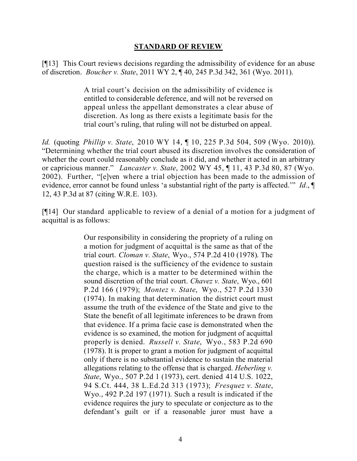#### **STANDARD OF REVIEW**

[¶13] This Court reviews decisions regarding the admissibility of evidence for an abuse of discretion. *Boucher v. State*, 2011 WY 2, ¶ 40, 245 P.3d 342, 361 (Wyo. 2011).

> A trial court's decision on the admissibility of evidence is entitled to considerable deference, and will not be reversed on appeal unless the appellant demonstrates a clear abuse of discretion. As long as there exists a legitimate basis for the trial court's ruling, that ruling will not be disturbed on appeal.

*Id.* (quoting *Phillip v. State*, 2010 WY 14, ¶ 10, 225 P.3d 504, 509 (Wyo. 2010)). "Determining whether the trial court abused its discretion involves the consideration of whether the court could reasonably conclude as it did, and whether it acted in an arbitrary or capricious manner." *Lancaster v. State*, 2002 WY 45, ¶ 11, 43 P.3d 80, 87 (Wyo. 2002). Further, "[e]ven where a trial objection has been made to the admission of evidence, error cannot be found unless 'a substantial right of the party is affected.'" *Id*., ¶ 12, 43 P.3d at 87 (citing W.R.E. 103).

[¶14] Our standard applicable to review of a denial of a motion for a judgment of acquittal is as follows:

> Our responsibility in considering the propriety of a ruling on a motion for judgment of acquittal is the same as that of the trial court. *Cloman v. State*, Wyo., 574 P.2d 410 (1978). The question raised is the sufficiency of the evidence to sustain the charge, which is a matter to be determined within the sound discretion of the trial court. *Chavez v. State*, Wyo., 601 P.2d 166 (1979); *Montez v. State*, Wyo., 527 P.2d 1330 (1974). In making that determination the district court must assume the truth of the evidence of the State and give to the State the benefit of all legitimate inferences to be drawn from that evidence. If a prima facie case is demonstrated when the evidence is so examined, the motion for judgment of acquittal properly is denied. *Russell v. State*, Wyo., 583 P.2d 690 (1978). It is proper to grant a motion for judgment of acquittal only if there is no substantial evidence to sustain the material allegations relating to the offense that is charged. *Heberling v. State*, Wyo., 507 P.2d 1 (1973), cert. denied 414 U.S. 1022, 94 S.Ct. 444, 38 L.Ed.2d 313 (1973); *Fresquez v. State*, Wyo., 492 P.2d 197 (1971). Such a result is indicated if the evidence requires the jury to speculate or conjecture as to the defendant's guilt or if a reasonable juror must have a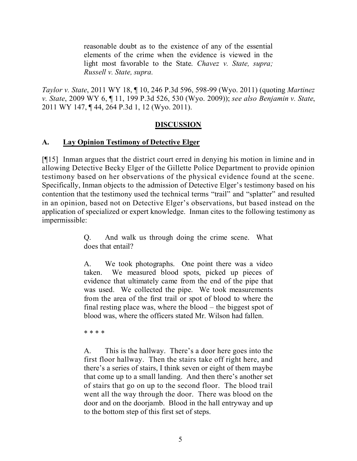reasonable doubt as to the existence of any of the essential elements of the crime when the evidence is viewed in the light most favorable to the State. *Chavez v. State, supra; Russell v. State, supra.*

*Taylor v. State*, 2011 WY 18, ¶ 10, 246 P.3d 596, 598-99 (Wyo. 2011) (quoting *Martinez v. State*, 2009 WY 6, ¶ 11, 199 P.3d 526, 530 (Wyo. 2009)); *see also Benjamin v. State*, 2011 WY 147, ¶ 44, 264 P.3d 1, 12 (Wyo. 2011).

# **DISCUSSION**

## **A. Lay Opinion Testimony of Detective Elger**

[¶15] Inman argues that the district court erred in denying his motion in limine and in allowing Detective Becky Elger of the Gillette Police Department to provide opinion testimony based on her observations of the physical evidence found at the scene. Specifically, Inman objects to the admission of Detective Elger's testimony based on his contention that the testimony used the technical terms "trail" and "splatter" and resulted in an opinion, based not on Detective Elger's observations, but based instead on the application of specialized or expert knowledge. Inman cites to the following testimony as impermissible:

> Q. And walk us through doing the crime scene. What does that entail?

> A. We took photographs. One point there was a video taken. We measured blood spots, picked up pieces of evidence that ultimately came from the end of the pipe that was used. We collected the pipe. We took measurements from the area of the first trail or spot of blood to where the final resting place was, where the blood – the biggest spot of blood was, where the officers stated Mr. Wilson had fallen.

\* \* \* \*

A. This is the hallway. There's a door here goes into the first floor hallway. Then the stairs take off right here, and there's a series of stairs, I think seven or eight of them maybe that come up to a small landing. And then there's another set of stairs that go on up to the second floor. The blood trail went all the way through the door. There was blood on the door and on the doorjamb. Blood in the hall entryway and up to the bottom step of this first set of steps.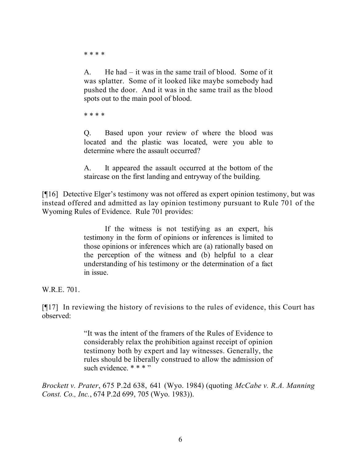\* \* \* \*

A. He had – it was in the same trail of blood. Some of it was splatter. Some of it looked like maybe somebody had pushed the door. And it was in the same trail as the blood spots out to the main pool of blood.

\* \* \* \*

Q. Based upon your review of where the blood was located and the plastic was located, were you able to determine where the assault occurred?

A. It appeared the assault occurred at the bottom of the staircase on the first landing and entryway of the building.

[¶16] Detective Elger's testimony was not offered as expert opinion testimony, but was instead offered and admitted as lay opinion testimony pursuant to Rule 701 of the Wyoming Rules of Evidence. Rule 701 provides:

> If the witness is not testifying as an expert, his testimony in the form of opinions or inferences is limited to those opinions or inferences which are (a) rationally based on the perception of the witness and (b) helpful to a clear understanding of his testimony or the determination of a fact in issue.

W.R.E. 701.

[¶17] In reviewing the history of revisions to the rules of evidence, this Court has observed:

> "It was the intent of the framers of the Rules of Evidence to considerably relax the prohibition against receipt of opinion testimony both by expert and lay witnesses. Generally, the rules should be liberally construed to allow the admission of such evidence. \* \* \* "

*Brockett v. Prater*, 675 P.2d 638, 641 (Wyo. 1984) (quoting *McCabe v. R.A. Manning Const. Co., Inc.*, 674 P.2d 699, 705 (Wyo. 1983)).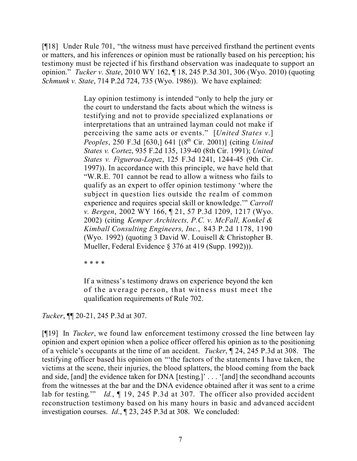[¶18] Under Rule 701, "the witness must have perceived firsthand the pertinent events or matters, and his inferences or opinion must be rationally based on his perception; his testimony must be rejected if his firsthand observation was inadequate to support an opinion." *Tucker v. State*, 2010 WY 162, ¶ 18, 245 P.3d 301, 306 (Wyo. 2010) (quoting *Schmunk v. State*, 714 P.2d 724, 735 (Wyo. 1986)). We have explained:

> Lay opinion testimony is intended "only to help the jury or the court to understand the facts about which the witness is testifying and not to provide specialized explanations or interpretations that an untrained layman could not make if perceiving the same acts or events." [*United States v.*] *Peoples*, 250 F.3d [630,] 641 [(8 th Cir. 2001)] (citing *United States v. Cortez*, 935 F.2d 135, 139-40 (8th Cir. 1991); *United States v. Figueroa-Lopez*, 125 F.3d 1241, 1244-45 (9th Cir. 1997)). In accordance with this principle, we have held that "W.R.E. 701 cannot be read to allow a witness who fails to qualify as an expert to offer opinion testimony 'where the subject in question lies outside the realm of common experience and requires special skill or knowledge.'" *Carroll v. Bergen*, 2002 WY 166, ¶ 21, 57 P.3d 1209, 1217 (Wyo. 2002) (citing *Kemper Architects, P.C. v. McFall, Konkel & Kimball Consulting Engineers, Inc.*, 843 P.2d 1178, 1190 (Wyo. 1992) (quoting 3 David W. Louisell & Christopher B. Mueller, Federal Evidence § 376 at 419 (Supp. 1992))).

\* \* \* \*

If a witness's testimony draws on experience beyond the ken of the average person, that witness must meet the qualification requirements of Rule 702.

*Tucker*, ¶¶ 20-21, 245 P.3d at 307.

[¶19] In *Tucker*, we found law enforcement testimony crossed the line between lay opinion and expert opinion when a police officer offered his opinion as to the positioning of a vehicle's occupants at the time of an accident. *Tucker*, ¶ 24, 245 P.3d at 308. The testifying officer based his opinion on "'the factors of the statements I have taken, the victims at the scene, their injuries, the blood splatters, the blood coming from the back and side, [and] the evidence taken for DNA [testing,]' . . . '[and] the secondhand accounts from the witnesses at the bar and the DNA evidence obtained after it was sent to a crime lab for testing." *Id.*, 19, 245 P.3d at 307. The officer also provided accident reconstruction testimony based on his many hours in basic and advanced accident investigation courses. *Id*., ¶ 23, 245 P.3d at 308. We concluded: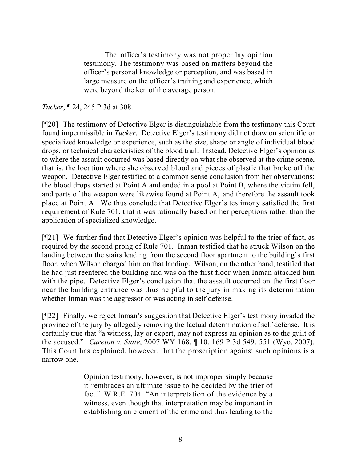The officer's testimony was not proper lay opinion testimony. The testimony was based on matters beyond the officer's personal knowledge or perception, and was based in large measure on the officer's training and experience, which were beyond the ken of the average person.

# *Tucker*, ¶ 24, 245 P.3d at 308.

[¶20] The testimony of Detective Elger is distinguishable from the testimony this Court found impermissible in *Tucker*. Detective Elger's testimony did not draw on scientific or specialized knowledge or experience, such as the size, shape or angle of individual blood drops, or technical characteristics of the blood trail. Instead, Detective Elger's opinion as to where the assault occurred was based directly on what she observed at the crime scene, that is, the location where she observed blood and pieces of plastic that broke off the weapon. Detective Elger testified to a common sense conclusion from her observations: the blood drops started at Point A and ended in a pool at Point B, where the victim fell, and parts of the weapon were likewise found at Point A, and therefore the assault took place at Point A. We thus conclude that Detective Elger's testimony satisfied the first requirement of Rule 701, that it was rationally based on her perceptions rather than the application of specialized knowledge.

[¶21] We further find that Detective Elger's opinion was helpful to the trier of fact, as required by the second prong of Rule 701. Inman testified that he struck Wilson on the landing between the stairs leading from the second floor apartment to the building's first floor, when Wilson charged him on that landing. Wilson, on the other hand, testified that he had just reentered the building and was on the first floor when Inman attacked him with the pipe. Detective Elger's conclusion that the assault occurred on the first floor near the building entrance was thus helpful to the jury in making its determination whether Inman was the aggressor or was acting in self defense.

[¶22] Finally, we reject Inman's suggestion that Detective Elger's testimony invaded the province of the jury by allegedly removing the factual determination of self defense. It is certainly true that "a witness, lay or expert, may not express an opinion as to the guilt of the accused." *Cureton v. State*, 2007 WY 168, ¶ 10, 169 P.3d 549, 551 (Wyo. 2007). This Court has explained, however, that the proscription against such opinions is a narrow one.

> Opinion testimony, however, is not improper simply because it "embraces an ultimate issue to be decided by the trier of fact." W.R.E. 704. "An interpretation of the evidence by a witness, even though that interpretation may be important in establishing an element of the crime and thus leading to the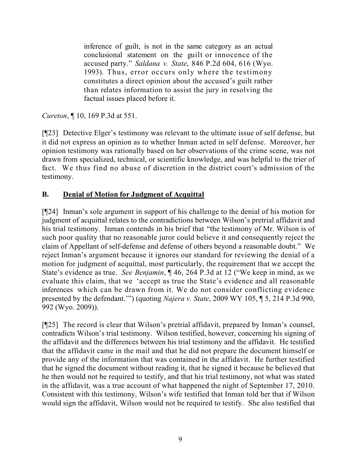inference of guilt, is not in the same category as an actual conclusional statement on the guilt or innocence of the accused party." *Saldana v. State*, 846 P.2d 604, 616 (Wyo. 1993). Thus, error occurs only where the testimony constitutes a direct opinion about the accused's guilt rather than relates information to assist the jury in resolving the factual issues placed before it.

*Cureton*, ¶ 10, 169 P.3d at 551.

[¶23] Detective Elger's testimony was relevant to the ultimate issue of self defense, but it did not express an opinion as to whether Inman acted in self defense. Moreover, her opinion testimony was rationally based on her observations of the crime scene, was not drawn from specialized, technical, or scientific knowledge, and was helpful to the trier of fact. We thus find no abuse of discretion in the district court's admission of the testimony.

# **B. Denial of Motion for Judgment of Acquittal**

[¶24] Inman's sole argument in support of his challenge to the denial of his motion for judgment of acquittal relates to the contradictions between Wilson's pretrial affidavit and his trial testimony. Inman contends in his brief that "the testimony of Mr. Wilson is of such poor quality that no reasonable juror could believe it and consequently reject the claim of Appellant of self-defense and defense of others beyond a reasonable doubt." We reject Inman's argument because it ignores our standard for reviewing the denial of a motion for judgment of acquittal, most particularly, the requirement that we accept the State's evidence as true. *See Benjamin*, ¶ 46, 264 P.3d at 12 ("We keep in mind, as we evaluate this claim, that we 'accept as true the State's evidence and all reasonable inferences which can be drawn from it. We do not consider conflicting evidence presented by the defendant.'") (quoting *Najera v. State*, 2009 WY 105, ¶ 5, 214 P.3d 990, 992 (Wyo. 2009)).

[¶25] The record is clear that Wilson's pretrial affidavit, prepared by Inman's counsel, contradicts Wilson's trial testimony. Wilson testified, however, concerning his signing of the affidavit and the differences between his trial testimony and the affidavit. He testified that the affidavit came in the mail and that he did not prepare the document himself or provide any of the information that was contained in the affidavit. He further testified that he signed the document without reading it, that he signed it because he believed that he then would not be required to testify, and that his trial testimony, not what was stated in the affidavit, was a true account of what happened the night of September 17, 2010. Consistent with this testimony, Wilson's wife testified that Inman told her that if Wilson would sign the affidavit, Wilson would not be required to testify. She also testified that